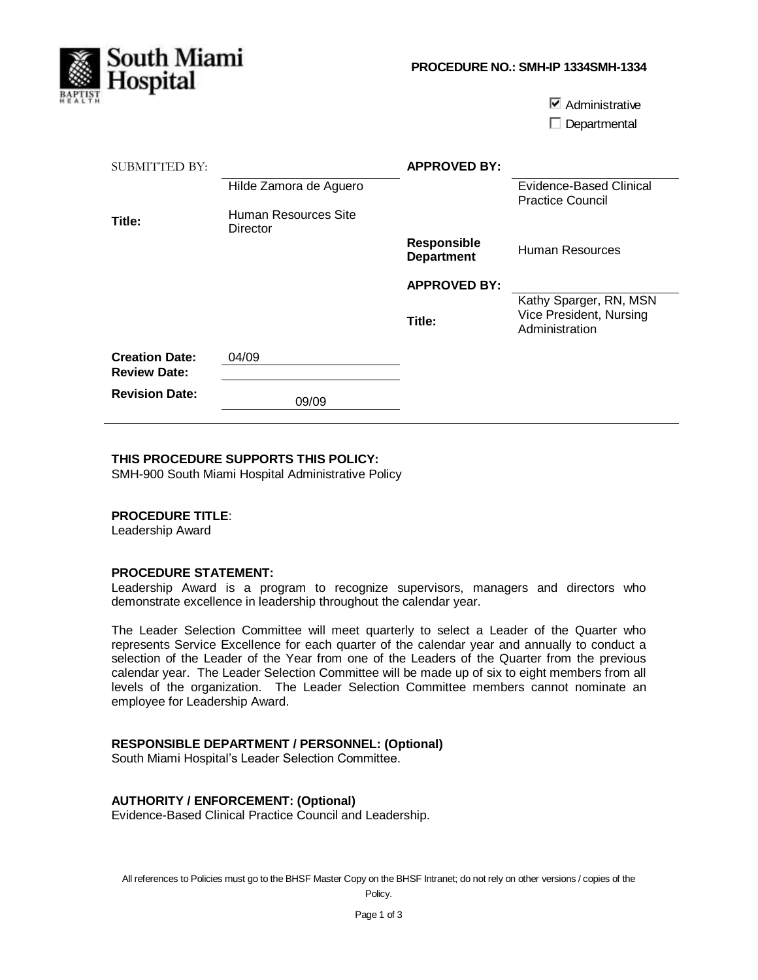

 $\nabla$  Administrative  $\square$  Departmental

| SUBMITTED BY:<br>Title:                      | Hilde Zamora de Aguero<br>Human Resources Site<br>Director | <b>APPROVED BY:</b>                     | <b>Evidence-Based Clinical</b><br><b>Practice Council</b>           |
|----------------------------------------------|------------------------------------------------------------|-----------------------------------------|---------------------------------------------------------------------|
|                                              |                                                            | <b>Responsible</b><br><b>Department</b> | Human Resources                                                     |
|                                              |                                                            | <b>APPROVED BY:</b>                     |                                                                     |
|                                              |                                                            | Title:                                  | Kathy Sparger, RN, MSN<br>Vice President, Nursing<br>Administration |
| <b>Creation Date:</b><br><b>Review Date:</b> | 04/09                                                      |                                         |                                                                     |
| <b>Revision Date:</b>                        | 09/09                                                      |                                         |                                                                     |

## **THIS PROCEDURE SUPPORTS THIS POLICY:**

SMH-900 South Miami Hospital Administrative Policy

#### **PROCEDURE TITLE**:

Leadership Award

#### **PROCEDURE STATEMENT:**

Leadership Award is a program to recognize supervisors, managers and directors who demonstrate excellence in leadership throughout the calendar year.

The Leader Selection Committee will meet quarterly to select a Leader of the Quarter who represents Service Excellence for each quarter of the calendar year and annually to conduct a selection of the Leader of the Year from one of the Leaders of the Quarter from the previous calendar year. The Leader Selection Committee will be made up of six to eight members from all levels of the organization. The Leader Selection Committee members cannot nominate an employee for Leadership Award.

## **RESPONSIBLE DEPARTMENT / PERSONNEL: (Optional)**

South Miami Hospital's Leader Selection Committee.

#### **AUTHORITY / ENFORCEMENT: (Optional)**

Evidence-Based Clinical Practice Council and Leadership.

All references to Policies must go to the BHSF Master Copy on the BHSF Intranet; do not rely on other versions / copies of the

Policy.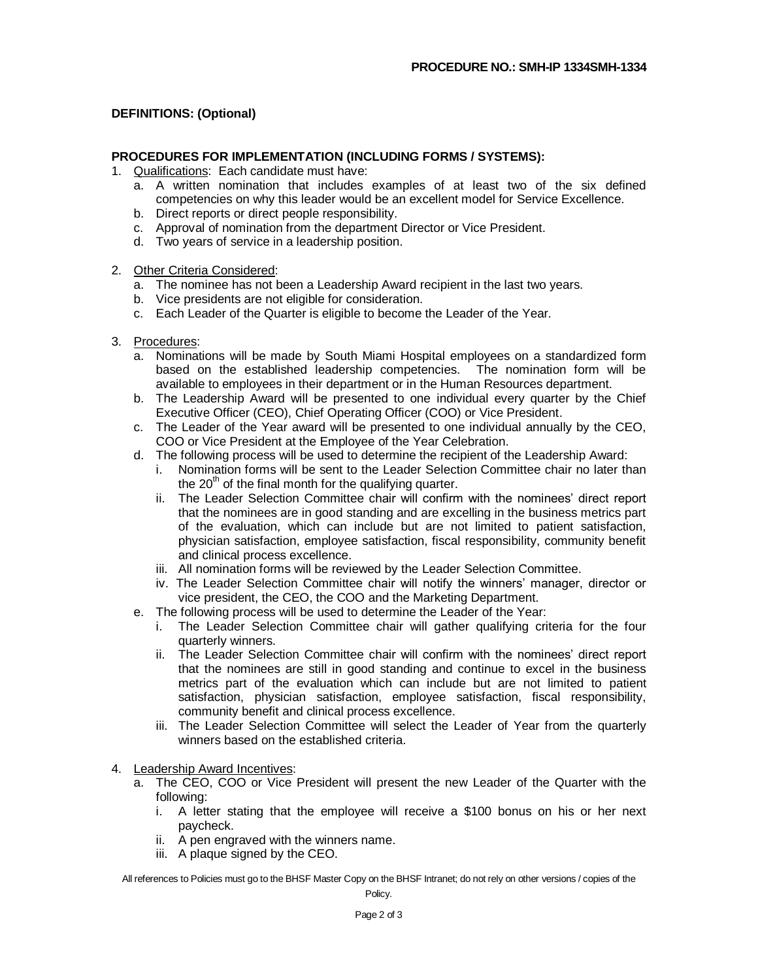## **DEFINITIONS: (Optional)**

### **PROCEDURES FOR IMPLEMENTATION (INCLUDING FORMS / SYSTEMS):**

- 1. Qualifications: Each candidate must have:
	- a. A written nomination that includes examples of at least two of the six defined competencies on why this leader would be an excellent model for Service Excellence.
	- b. Direct reports or direct people responsibility.
	- c. Approval of nomination from the department Director or Vice President.
	- d. Two years of service in a leadership position.
- 2. Other Criteria Considered:
	- a. The nominee has not been a Leadership Award recipient in the last two years.
	- b. Vice presidents are not eligible for consideration.
	- c. Each Leader of the Quarter is eligible to become the Leader of the Year.
- 3. Procedures:
	- a. Nominations will be made by South Miami Hospital employees on a standardized form based on the established leadership competencies. The nomination form will be available to employees in their department or in the Human Resources department.
	- b. The Leadership Award will be presented to one individual every quarter by the Chief Executive Officer (CEO), Chief Operating Officer (COO) or Vice President.
	- c. The Leader of the Year award will be presented to one individual annually by the CEO, COO or Vice President at the Employee of the Year Celebration.
	- d. The following process will be used to determine the recipient of the Leadership Award:
		- i. Nomination forms will be sent to the Leader Selection Committee chair no later than the  $20<sup>th</sup>$  of the final month for the qualifying quarter.
		- ii. The Leader Selection Committee chair will confirm with the nominees' direct report that the nominees are in good standing and are excelling in the business metrics part of the evaluation, which can include but are not limited to patient satisfaction, physician satisfaction, employee satisfaction, fiscal responsibility, community benefit and clinical process excellence.
		- iii. All nomination forms will be reviewed by the Leader Selection Committee.
		- iv. The Leader Selection Committee chair will notify the winners' manager, director or vice president, the CEO, the COO and the Marketing Department.
	- e. The following process will be used to determine the Leader of the Year:
		- i. The Leader Selection Committee chair will gather qualifying criteria for the four quarterly winners.
		- ii. The Leader Selection Committee chair will confirm with the nominees' direct report that the nominees are still in good standing and continue to excel in the business metrics part of the evaluation which can include but are not limited to patient satisfaction, physician satisfaction, employee satisfaction, fiscal responsibility, community benefit and clinical process excellence.
		- iii. The Leader Selection Committee will select the Leader of Year from the quarterly winners based on the established criteria.
- 4. Leadership Award Incentives:
	- a. The CEO, COO or Vice President will present the new Leader of the Quarter with the following:
		- i. A letter stating that the employee will receive a \$100 bonus on his or her next paycheck.
		- ii. A pen engraved with the winners name.
		- iii. A plaque signed by the CEO.

All references to Policies must go to the BHSF Master Copy on the BHSF Intranet; do not rely on other versions / copies of the